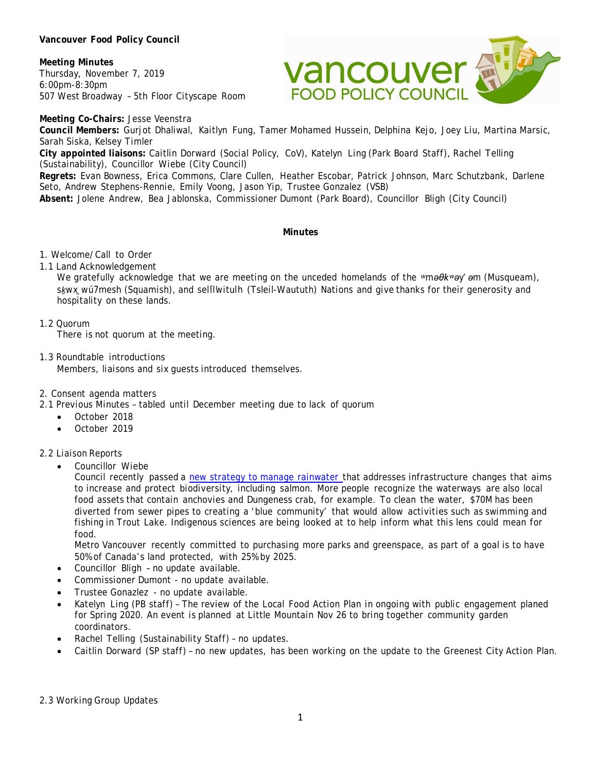### **Vancouver Food Policy Council**

**Meeting Minutes** Thursday, November 7, 2019 6:00pm-8:30pm 507 West Broadway – 5th Floor Cityscape Room



**Meeting Co-Chairs:** Jesse Veenstra

**Council Members:** Gurjot Dhaliwal, Kaitlyn Fung, Tamer Mohamed Hussein, Delphina Kejo, Joey Liu, Martina Marsic, Sarah Siska, Kelsey Timler

**City appointed liaisons:** Caitlin Dorward (Social Policy, CoV), Katelyn Ling (Park Board Staff), Rachel Telling (Sustainability), Councillor Wiebe (City Council)

**Regrets:** Evan Bowness, Erica Commons, Clare Cullen, Heather Escobar, Patrick Johnson, Marc Schutzbank, Darlene Seto, Andrew Stephens-Rennie, Emily Voong, Jason Yip, Trustee Gonzalez (VSB)

**Absent:** Jolene Andrew, Bea Jablonska, Commissioner Dumont (Park Board), Councillor Bligh (City Council)

#### **Minutes**

### 1. Welcome/Call to Order

### 1.1 Land Acknowledgement

We gratefully acknowledge that we are meeting on the unceded homelands of the *ʷməθkʷəy̓ əm* (Musqueam), *sḵwx̱wú7mesh* (Squamish), and *sel̓íl̓witulh* (Tsleil-Waututh) Nations and give thanks for their generosity and hospitality on these lands.

## 1.2 Quorum

There is not quorum at the meeting.

1.3 Roundtable introductions Members, liaisons and six guests introduced themselves.

### 2. Consent agenda matters

2.1 Previous Minutes – tabled until December meeting due to lack of quorum

- October 2018
- October 2019

### 2.2 Liaison Reports

• Councillor Wiebe

Council recently passed a [new strategy to manage rainwater](https://vancouver.ca/home-property-development/one-water.aspx) that addresses infrastructure changes that aims to increase and protect biodiversity, including salmon. More people recognize the waterways are also local food assets that contain anchovies and Dungeness crab, for example. To clean the water, \$70M has been diverted from sewer pipes to creating a 'blue community' that would allow activities such as swimming and fishing in Trout Lake. Indigenous sciences are being looked at to help inform what this lens could mean for food.

Metro Vancouver recently committed to purchasing more parks and greenspace, as part of a goal is to have 50% of Canada's land protected, with 25% by 2025.

- Councillor Bligh no update available.
- Commissioner Dumont no update available.
- Trustee Gonazlez no update available.
- Katelyn Ling (PB staff) The review of the Local Food Action Plan in ongoing with public engagement planed for Spring 2020. An event is planned at Little Mountain Nov 26 to bring together community garden coordinators.
- Rachel Telling (Sustainability Staff) no updates.
- Caitlin Dorward (SP staff) no new updates, has been working on the update to the Greenest City Action Plan.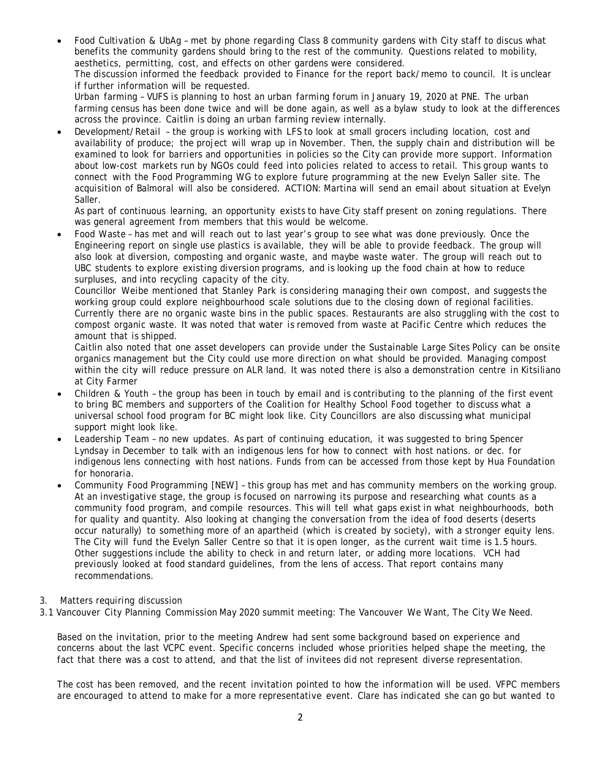• Food Cultivation & UbAg – met by phone regarding Class 8 community gardens with City staff to discus what benefits the community gardens should bring to the rest of the community. Questions related to mobility, aesthetics, permitting, cost, and effects on other gardens were considered.

The discussion informed the feedback provided to Finance for the report back/memo to council. It is unclear if further information will be requested.

Urban farming – VUFS is planning to host an urban farming forum in January 19, 2020 at PNE. The urban farming census has been done twice and will be done again, as well as a bylaw study to look at the differences across the province. Caitlin is doing an urban farming review internally.

• Development/Retail – the group is working with LFS to look at small grocers including location, cost and availability of produce; the project will wrap up in November. Then, the supply chain and distribution will be examined to look for barriers and opportunities in policies so the City can provide more support. Information about low-cost markets run by NGOs could feed into policies related to access to retail. This group wants to connect with the Food Programming WG to explore future programming at the new Evelyn Saller site. The acquisition of Balmoral will also be considered. ACTION: Martina will send an email about situation at Evelyn Saller.

As part of continuous learning, an opportunity exists to have City staff present on zoning regulations. There was general agreement from members that this would be welcome.

• Food Waste – has met and will reach out to last year's group to see what was done previously. Once the Engineering report on single use plastics is available, they will be able to provide feedback. The group will also look at diversion, composting and organic waste, and maybe waste water. The group will reach out to UBC students to explore existing diversion programs, and is looking up the food chain at how to reduce surpluses, and into recycling capacity of the city.

Councillor Weibe mentioned that Stanley Park is considering managing their own compost, and suggests the working group could explore neighbourhood scale solutions due to the closing down of regional facilities. Currently there are no organic waste bins in the public spaces. Restaurants are also struggling with the cost to compost organic waste. It was noted that water is removed from waste at Pacific Centre which reduces the amount that is shipped.

Caitlin also noted that one asset developers can provide under the Sustainable Large Sites Policy can be onsite organics management but the City could use more direction on what should be provided. Managing compost within the city will reduce pressure on ALR land. It was noted there is also a demonstration centre in Kitsiliano at City Farmer

- Children & Youth the group has been in touch by email and is contributing to the planning of the first event to bring BC members and supporters of the Coalition for Healthy School Food together to discuss what a universal school food program for BC might look like. City Councillors are also discussing what municipal support might look like.
- Leadership Team no new updates. As part of continuing education, it was suggested to bring Spencer Lyndsay in December to talk with an indigenous lens for how to connect with host nations. or dec. for indigenous lens connecting with host nations. Funds from can be accessed from those kept by Hua Foundation for honoraria.
- Community Food Programming [NEW] this group has met and has community members on the working group. At an investigative stage, the group is focused on narrowing its purpose and researching what counts as a community food program, and compile resources. This will tell what gaps exist in what neighbourhoods, both for quality and quantity. Also looking at changing the conversation from the idea of food deserts (deserts occur naturally) to something more of an apartheid (which is created by society), with a stronger equity lens. The City will fund the Evelyn Saller Centre so that it is open longer, as the current wait time is 1.5 hours. Other suggestions include the ability to check in and return later, or adding more locations. VCH had previously looked at food standard guidelines, from the lens of access. That report contains many recommendations.
- 3. Matters requiring discussion
- 3.1 Vancouver City Planning Commission May 2020 summit meeting: The Vancouver We Want, The City We Need.

Based on the invitation, prior to the meeting Andrew had sent some background based on experience and concerns about the last VCPC event. Specific concerns included whose priorities helped shape the meeting, the fact that there was a cost to attend, and that the list of invitees did not represent diverse representation.

The cost has been removed, and the recent invitation pointed to how the information will be used. VFPC members are encouraged to attend to make for a more representative event. Clare has indicated she can go but wanted to